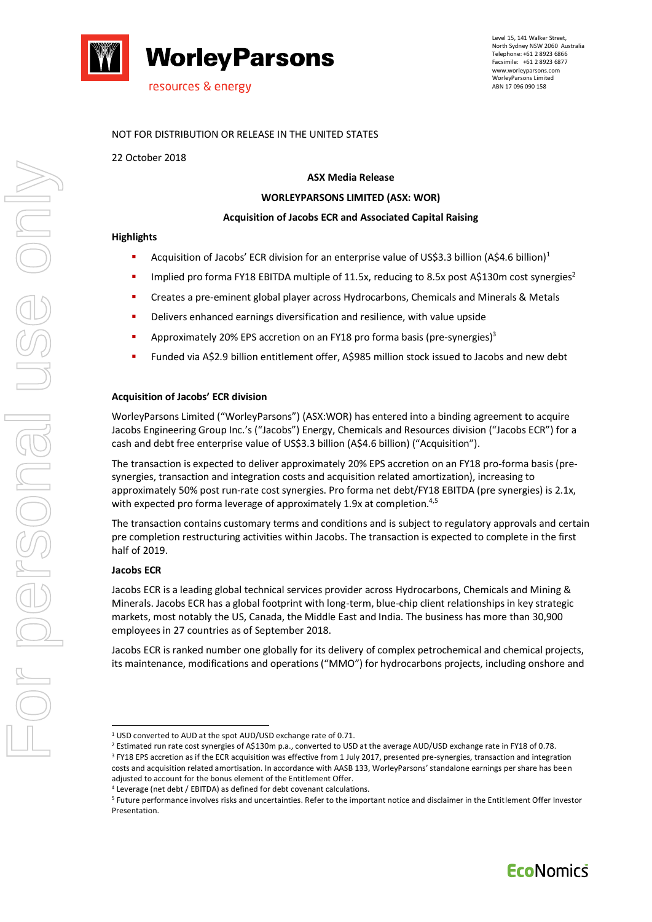

## NOT FOR DISTRIBUTION OR RELEASE IN THE UNITED STATES

22 October 2018

## **ASX Media Release**

# **WORLEYPARSONS LIMITED (ASX: WOR)**

#### **Acquisition of Jacobs ECR and Associated Capital Raising**

#### **Highlights**

- Acquisition of Jacobs' ECR division for an enterprise value of US\$3.3 billion (A\$4.6 billion)<sup>1</sup>
- Implied pro forma FY18 EBITDA multiple of 11.5x, reducing to 8.5x post A\$130m cost synergies<sup>2</sup>
- **•** Creates a pre-eminent global player across Hydrocarbons, Chemicals and Minerals & Metals
- Delivers enhanced earnings diversification and resilience, with value upside
- **■** Approximately 20% EPS accretion on an FY18 pro forma basis (pre-synergies)<sup>3</sup>
- Funded via A\$2.9 billion entitlement offer, A\$985 million stock issued to Jacobs and new debt

#### **Acquisition of Jacobs' ECR division**

WorleyParsons Limited ("WorleyParsons") (ASX:WOR) has entered into a binding agreement to acquire Jacobs Engineering Group Inc.'s ("Jacobs") Energy, Chemicals and Resources division ("Jacobs ECR") for a cash and debt free enterprise value of US\$3.3 billion (A\$4.6 billion) ("Acquisition").

The transaction is expected to deliver approximately 20% EPS accretion on an FY18 pro-forma basis (presynergies, transaction and integration costs and acquisition related amortization), increasing to approximately 50% post run-rate cost synergies. Pro forma net debt/FY18 EBITDA (pre synergies) is 2.1x, with expected pro forma leverage of approximately 1.9x at completion.<sup>4,5</sup>

The transaction contains customary terms and conditions and is subject to regulatory approvals and certain pre completion restructuring activities within Jacobs. The transaction is expected to complete in the first half of 2019.

#### **Jacobs ECR**

1

Jacobs ECR is a leading global technical services provider across Hydrocarbons, Chemicals and Mining & Minerals. Jacobs ECR has a global footprint with long-term, blue-chip client relationships in key strategic markets, most notably the US, Canada, the Middle East and India. The business has more than 30,900 employees in 27 countries as of September 2018.

Jacobs ECR is ranked number one globally for its delivery of complex petrochemical and chemical projects, its maintenance, modifications and operations ("MMO") for hydrocarbons projects, including onshore and

<sup>1</sup> USD converted to AUD at the spot AUD/USD exchange rate of 0.71.

<sup>2</sup> Estimated run rate cost synergies of A\$130m p.a., converted to USD at the average AUD/USD exchange rate in FY18 of 0.78. <sup>3</sup> FY18 EPS accretion as if the ECR acquisition was effective from 1 July 2017, presented pre-synergies, transaction and integration costs and acquisition related amortisation. In accordance with AASB 133, WorleyParsons' standalone earnings per share has been adjusted to account for the bonus element of the Entitlement Offer.

<sup>4</sup> Leverage (net debt / EBITDA) as defined for debt covenant calculations.

<sup>5</sup> Future performance involves risks and uncertainties. Refer to the important notice and disclaimer in the Entitlement Offer Investor Presentation.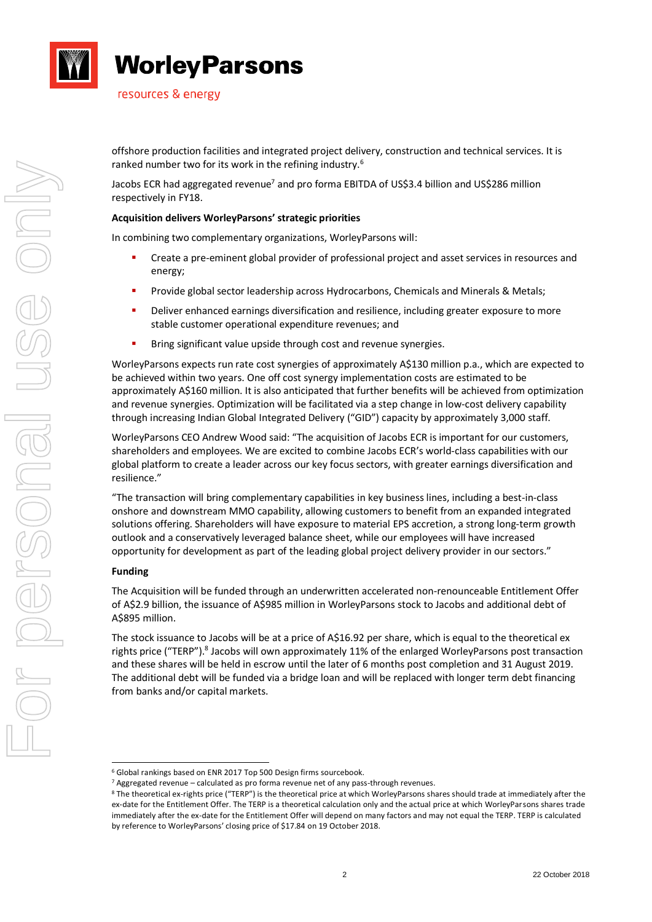

resources & energy

offshore production facilities and integrated project delivery, construction and technical services. It is ranked number two for its work in the refining industry.<sup>6</sup>

Jacobs ECR had aggregated revenue<sup>7</sup> and pro forma EBITDA of US\$3.4 billion and US\$286 million respectively in FY18.

## **Acquisition delivers WorleyParsons' strategic priorities**

In combining two complementary organizations, WorleyParsons will:

- Create a pre-eminent global provider of professional project and asset services in resources and energy;
- **·** Provide global sector leadership across Hydrocarbons, Chemicals and Minerals & Metals;
- Deliver enhanced earnings diversification and resilience, including greater exposure to more stable customer operational expenditure revenues; and
- Bring significant value upside through cost and revenue synergies.

WorleyParsons expects run rate cost synergies of approximately A\$130 million p.a., which are expected to be achieved within two years. One off cost synergy implementation costs are estimated to be approximately A\$160 million. It is also anticipated that further benefits will be achieved from optimization and revenue synergies. Optimization will be facilitated via a step change in low-cost delivery capability through increasing Indian Global Integrated Delivery ("GID") capacity by approximately 3,000 staff.

WorleyParsons CEO Andrew Wood said: "The acquisition of Jacobs ECR is important for our customers, shareholders and employees. We are excited to combine Jacobs ECR's world-class capabilities with our global platform to create a leader across our key focus sectors, with greater earnings diversification and resilience."

"The transaction will bring complementary capabilities in key business lines, including a best-in-class onshore and downstream MMO capability, allowing customers to benefit from an expanded integrated solutions offering. Shareholders will have exposure to material EPS accretion, a strong long-term growth outlook and a conservatively leveraged balance sheet, while our employees will have increased opportunity for development as part of the leading global project delivery provider in our sectors."

### **Funding**

The Acquisition will be funded through an underwritten accelerated non-renounceable Entitlement Offer of A\$2.9 billion, the issuance of A\$985 million in WorleyParsons stock to Jacobs and additional debt of A\$895 million.

The stock issuance to Jacobs will be at a price of A\$16.92 per share, which is equal to the theoretical ex rights price ("TERP").<sup>8</sup> Jacobs will own approximately 11% of the enlarged WorleyParsons post transaction and these shares will be held in escrow until the later of 6 months post completion and 31 August 2019. The additional debt will be funded via a bridge loan and will be replaced with longer term debt financing from banks and/or capital markets.

<sup>1</sup> <sup>6</sup> Global rankings based on ENR 2017 Top 500 Design firms sourcebook.

<sup>7</sup> Aggregated revenue – calculated as pro forma revenue net of any pass-through revenues.

<sup>8</sup> The theoretical ex-rights price ("TERP") is the theoretical price at which WorleyParsons shares should trade at immediately after the ex-date for the Entitlement Offer. The TERP is a theoretical calculation only and the actual price at which WorleyParsons shares trade immediately after the ex-date for the Entitlement Offer will depend on many factors and may not equal the TERP. TERP is calculated by reference to WorleyParsons' closing price of \$17.84 on 19 October 2018.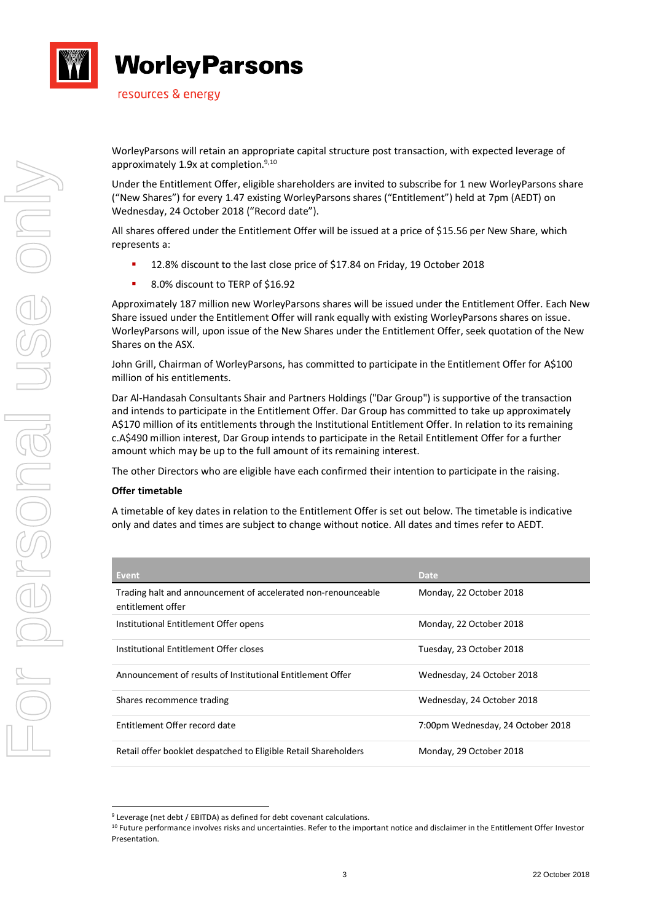

resources & energy

WorleyParsons will retain an appropriate capital structure post transaction, with expected leverage of approximately 1.9x at completion.<sup>9,10</sup>

Under the Entitlement Offer, eligible shareholders are invited to subscribe for 1 new WorleyParsons share ("New Shares") for every 1.47 existing WorleyParsons shares ("Entitlement") held at 7pm (AEDT) on Wednesday, 24 October 2018 ("Record date").

All shares offered under the Entitlement Offer will be issued at a price of \$15.56 per New Share, which represents a:

- 12.8% discount to the last close price of \$17.84 on Friday, 19 October 2018
- 8.0% discount to TERP of \$16.92

Approximately 187 million new WorleyParsons shares will be issued under the Entitlement Offer. Each New Share issued under the Entitlement Offer will rank equally with existing WorleyParsons shares on issue. WorleyParsons will, upon issue of the New Shares under the Entitlement Offer, seek quotation of the New Shares on the ASX.

John Grill, Chairman of WorleyParsons, has committed to participate in the Entitlement Offer for A\$100 million of his entitlements.

Dar Al-Handasah Consultants Shair and Partners Holdings ("Dar Group") is supportive of the transaction and intends to participate in the Entitlement Offer. Dar Group has committed to take up approximately A\$170 million of its entitlements through the Institutional Entitlement Offer. In relation to its remaining c.A\$490 million interest, Dar Group intends to participate in the Retail Entitlement Offer for a further amount which may be up to the full amount of its remaining interest.

The other Directors who are eligible have each confirmed their intention to participate in the raising.

### **Offer timetable**

1

A timetable of key dates in relation to the Entitlement Offer is set out below. The timetable is indicative only and dates and times are subject to change without notice. All dates and times refer to AEDT.

| <b>Event</b>                                                                       | <b>Date</b>                       |
|------------------------------------------------------------------------------------|-----------------------------------|
| Trading halt and announcement of accelerated non-renounceable<br>entitlement offer | Monday, 22 October 2018           |
| Institutional Entitlement Offer opens                                              | Monday, 22 October 2018           |
| Institutional Entitlement Offer closes                                             | Tuesday, 23 October 2018          |
| Announcement of results of Institutional Entitlement Offer                         | Wednesday, 24 October 2018        |
| Shares recommence trading                                                          | Wednesday, 24 October 2018        |
| Entitlement Offer record date                                                      | 7:00pm Wednesday, 24 October 2018 |
| Retail offer booklet despatched to Eligible Retail Shareholders                    | Monday, 29 October 2018           |

<sup>9</sup> Leverage (net debt / EBITDA) as defined for debt covenant calculations.

<sup>&</sup>lt;sup>10</sup> Future performance involves risks and uncertainties. Refer to the important notice and disclaimer in the Entitlement Offer Investor Presentation.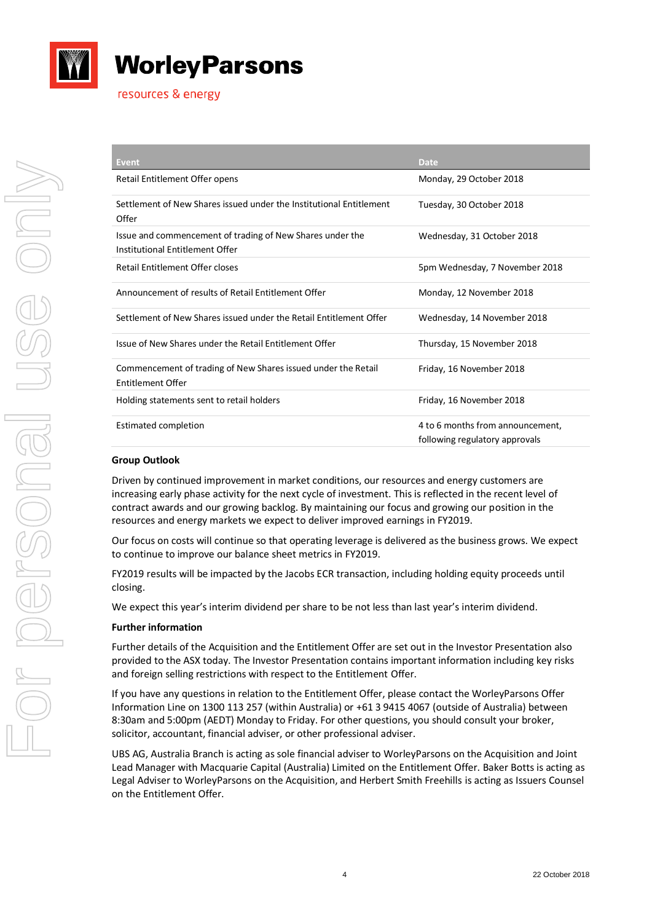

| <b>Event</b>                                                                                 | <b>Date</b>                                                        |
|----------------------------------------------------------------------------------------------|--------------------------------------------------------------------|
| Retail Entitlement Offer opens                                                               | Monday, 29 October 2018                                            |
| Settlement of New Shares issued under the Institutional Entitlement<br>Offer                 | Tuesday, 30 October 2018                                           |
| Issue and commencement of trading of New Shares under the<br>Institutional Entitlement Offer | Wednesday, 31 October 2018                                         |
| Retail Entitlement Offer closes                                                              | 5pm Wednesday, 7 November 2018                                     |
| Announcement of results of Retail Entitlement Offer                                          | Monday, 12 November 2018                                           |
| Settlement of New Shares issued under the Retail Entitlement Offer                           | Wednesday, 14 November 2018                                        |
| Issue of New Shares under the Retail Entitlement Offer                                       | Thursday, 15 November 2018                                         |
| Commencement of trading of New Shares issued under the Retail<br><b>Entitlement Offer</b>    | Friday, 16 November 2018                                           |
| Holding statements sent to retail holders                                                    | Friday, 16 November 2018                                           |
| Estimated completion                                                                         | 4 to 6 months from announcement,<br>following regulatory approvals |

# **Group Outlook**

Driven by continued improvement in market conditions, our resources and energy customers are increasing early phase activity for the next cycle of investment. This is reflected in the recent level of contract awards and our growing backlog. By maintaining our focus and growing our position in the resources and energy markets we expect to deliver improved earnings in FY2019.

Our focus on costs will continue so that operating leverage is delivered as the business grows. We expect to continue to improve our balance sheet metrics in FY2019.

FY2019 results will be impacted by the Jacobs ECR transaction, including holding equity proceeds until closing.

We expect this year's interim dividend per share to be not less than last year's interim dividend.

### **Further information**

Further details of the Acquisition and the Entitlement Offer are set out in the Investor Presentation also provided to the ASX today. The Investor Presentation contains important information including key risks and foreign selling restrictions with respect to the Entitlement Offer.

If you have any questions in relation to the Entitlement Offer, please contact the WorleyParsons Offer Information Line on 1300 113 257 (within Australia) or +61 3 9415 4067 (outside of Australia) between 8:30am and 5:00pm (AEDT) Monday to Friday. For other questions, you should consult your broker, solicitor, accountant, financial adviser, or other professional adviser.

UBS AG, Australia Branch is acting as sole financial adviser to WorleyParsons on the Acquisition and Joint Lead Manager with Macquarie Capital (Australia) Limited on the Entitlement Offer. Baker Botts is acting as Legal Adviser to WorleyParsons on the Acquisition, and Herbert Smith Freehills is acting as Issuers Counsel on the Entitlement Offer.